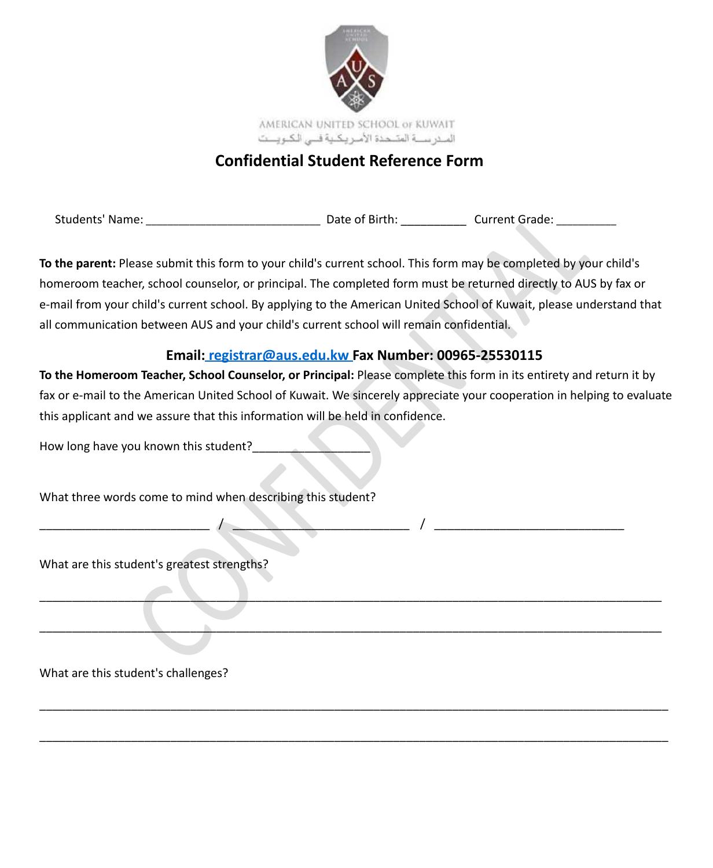

# **Confidential Student Reference Form**

Students' Name: \_\_\_\_\_\_\_\_\_\_\_\_\_\_\_\_\_\_\_\_\_\_\_\_\_\_\_\_\_\_\_\_ Date of Birth: \_\_\_\_\_\_\_\_\_\_ Current Grade: \_\_\_\_\_\_\_\_\_\_\_

CONFIDENTIAL **To the parent:** Please submit this form to your child's current school. This form may be completed by your child's homeroom teacher, school counselor, or principal. The completed form must be returned directly to AUS by fax or e-mail from your child's current school. By applying to the American United School of Kuwait, please understand that all communication between AUS and your child's current school will remain confidential.

## **Email: registrar@aus.edu.kw Fax Number: 00965-25530115**

**To the Homeroom Teacher, School Counselor, or Principal:** Please complete this form in its entirety and return it by fax or e-mail to the American United School of Kuwait. We sincerely appreciate your cooperation in helping to evaluate this applicant and we assure that this information will be held in confidence.

\_\_\_\_\_\_\_\_\_\_\_\_\_\_\_\_\_\_\_\_\_\_\_\_\_\_\_\_\_\_\_\_\_\_\_\_\_\_\_\_\_\_\_\_\_\_\_\_\_\_\_\_\_\_\_\_\_\_\_\_\_\_\_\_\_\_\_\_\_\_\_\_\_\_\_\_\_\_\_\_\_\_\_\_\_\_\_\_\_\_\_\_\_\_\_

\_\_\_\_\_\_\_\_\_\_\_\_\_\_\_\_\_\_\_\_\_\_\_\_\_\_\_\_\_\_\_\_\_\_\_\_\_\_\_\_\_\_\_\_\_\_\_\_\_\_\_\_\_\_\_\_\_\_\_\_\_\_\_\_\_\_\_\_\_\_\_\_\_\_\_\_\_\_\_\_\_\_\_\_\_\_\_\_\_\_\_\_\_\_\_

\_\_\_\_\_\_\_\_\_\_\_\_\_\_\_\_\_\_\_\_\_\_\_\_\_\_\_\_\_\_\_\_\_\_\_\_\_\_\_\_\_\_\_\_\_\_\_\_\_\_\_\_\_\_\_\_\_\_\_\_\_\_\_\_\_\_\_\_\_\_\_\_\_\_\_\_\_\_\_\_\_\_\_\_\_\_\_\_\_\_\_\_\_\_\_\_

\_\_\_\_\_\_\_\_\_\_\_\_\_\_\_\_\_\_\_\_\_\_\_\_\_\_\_\_\_\_\_\_\_\_\_\_\_\_\_\_\_\_\_\_\_\_\_\_\_\_\_\_\_\_\_\_\_\_\_\_\_\_\_\_\_\_\_\_\_\_\_\_\_\_\_\_\_\_\_\_\_\_\_\_\_\_\_\_\_\_\_\_\_\_\_\_

\_\_\_\_\_\_\_\_\_\_\_\_\_\_\_\_\_\_\_\_\_\_\_\_\_\_ / \_\_\_\_\_\_\_\_\_\_\_\_\_\_\_\_\_\_\_\_\_\_\_\_\_\_\_ / \_\_\_\_\_\_\_\_\_\_\_\_\_\_\_\_\_\_\_\_\_\_\_\_\_\_\_\_\_

How long have you known this student?

What three words come to mind when describing this student?

What are this student's greatest strengths?

What are this student's challenges?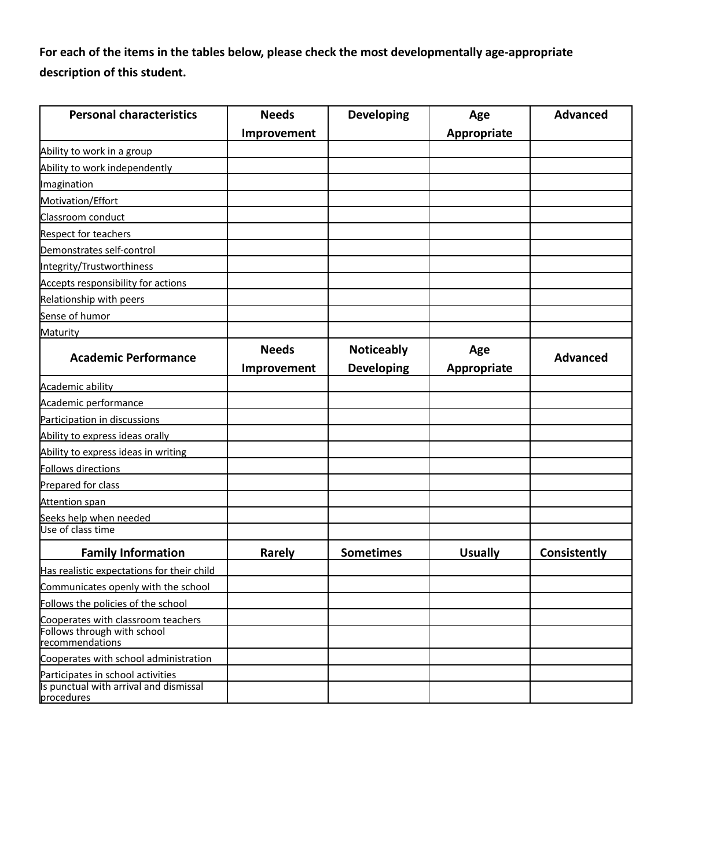**For each of the items in the tables below, please check the most developmentally age-appropriate description of this student.**

| <b>Personal characteristics</b>                      | <b>Needs</b> | <b>Developing</b> | Age                | <b>Advanced</b> |
|------------------------------------------------------|--------------|-------------------|--------------------|-----------------|
|                                                      | Improvement  |                   | <b>Appropriate</b> |                 |
| Ability to work in a group                           |              |                   |                    |                 |
| Ability to work independently                        |              |                   |                    |                 |
| Imagination                                          |              |                   |                    |                 |
| Motivation/Effort                                    |              |                   |                    |                 |
| Classroom conduct                                    |              |                   |                    |                 |
| Respect for teachers                                 |              |                   |                    |                 |
| Demonstrates self-control                            |              |                   |                    |                 |
| Integrity/Trustworthiness                            |              |                   |                    |                 |
| Accepts responsibility for actions                   |              |                   |                    |                 |
| Relationship with peers                              |              |                   |                    |                 |
| Sense of humor                                       |              |                   |                    |                 |
| Maturity                                             |              |                   |                    |                 |
| <b>Academic Performance</b>                          | <b>Needs</b> | <b>Noticeably</b> | Age                | <b>Advanced</b> |
|                                                      | Improvement  | <b>Developing</b> | <b>Appropriate</b> |                 |
| Academic ability                                     |              |                   |                    |                 |
| Academic performance                                 |              |                   |                    |                 |
| Participation in discussions                         |              |                   |                    |                 |
| Ability to express ideas orally                      |              |                   |                    |                 |
| Ability to express ideas in writing                  |              |                   |                    |                 |
| Follows directions                                   |              |                   |                    |                 |
| Prepared for class                                   |              |                   |                    |                 |
| Attention span                                       |              |                   |                    |                 |
| Seeks help when needed                               |              |                   |                    |                 |
| Use of class time                                    |              |                   |                    |                 |
| <b>Family Information</b>                            | Rarely       | <b>Sometimes</b>  | <b>Usually</b>     | Consistently    |
| Has realistic expectations for their child           |              |                   |                    |                 |
| Communicates openly with the school                  |              |                   |                    |                 |
| Follows the policies of the school                   |              |                   |                    |                 |
| Cooperates with classroom teachers                   |              |                   |                    |                 |
| Follows through with school<br>recommendations       |              |                   |                    |                 |
| Cooperates with school administration                |              |                   |                    |                 |
| Participates in school activities                    |              |                   |                    |                 |
| Is punctual with arrival and dismissal<br>procedures |              |                   |                    |                 |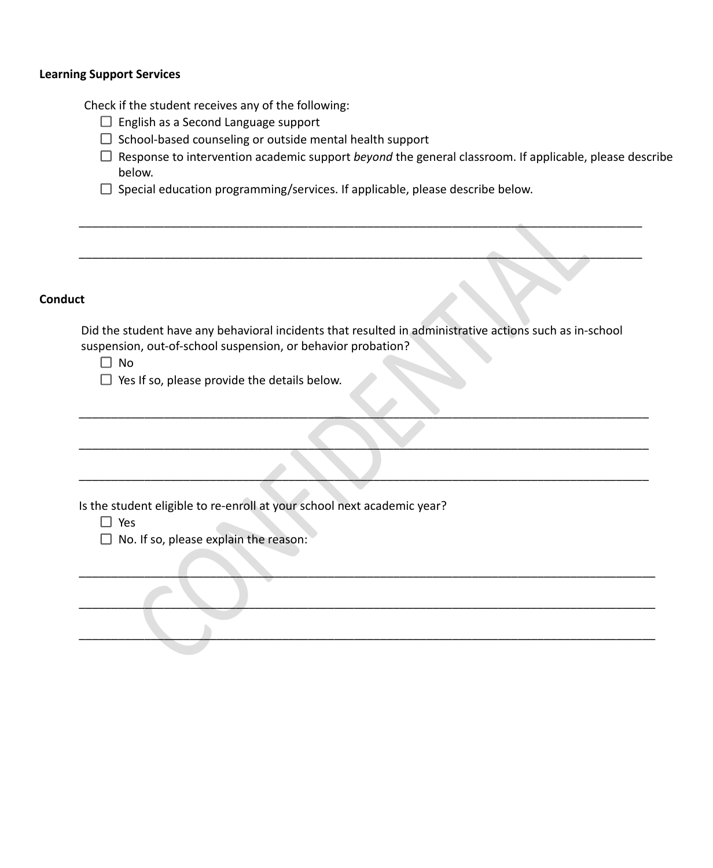#### **Learning Support Services**

Check if the student receives any of the following:

- $\Box$  English as a Second Language support
- $\Box$  School-based counseling or outside mental health support
- □ Response to intervention academic support *beyond* the general classroom. If applicable, please describe below.
- $\Box$  Special education programming/services. If applicable, please describe below.

#### **Conduct**

Experience any behavioral incidents that resulted in administrative actions such as in-<br>on, out-of-school suspension, or behavior probation?<br>Si f so, please provide the details below.<br>Jet and the property of the second of Did the student have any behavioral incidents that resulted in administrative actions such as in-school suspension, out-of-school suspension, or behavior probation?

\_\_\_\_\_\_\_\_\_\_\_\_\_\_\_\_\_\_\_\_\_\_\_\_\_\_\_\_\_\_\_\_\_\_\_\_\_\_\_\_\_\_\_\_\_\_\_\_\_\_\_\_\_\_\_\_\_\_\_\_\_\_\_\_\_\_\_\_\_\_\_\_\_\_\_\_\_\_\_\_\_\_\_\_\_\_\_

\_\_\_\_\_\_\_\_\_\_\_\_\_\_\_\_\_\_\_\_\_\_\_\_\_\_\_\_\_\_\_\_\_\_\_\_\_\_\_\_\_\_\_\_\_\_\_\_\_\_\_\_\_\_\_\_\_\_\_\_\_\_\_\_\_\_\_\_\_\_\_\_\_\_\_\_\_\_\_\_\_\_\_\_\_\_\_

\_\_\_\_\_\_\_\_\_\_\_\_\_\_\_\_\_\_\_\_\_\_\_\_\_\_\_\_\_\_\_\_\_\_\_\_\_\_\_\_\_\_\_\_\_\_\_\_\_\_\_\_\_\_\_\_\_\_\_\_\_\_\_\_\_\_\_\_\_\_\_\_\_\_\_\_\_\_\_\_\_\_\_\_\_\_\_

\_\_\_\_\_\_\_\_\_\_\_\_\_\_\_\_\_\_\_\_\_\_\_\_\_\_\_\_\_\_\_\_\_\_\_\_\_\_\_\_\_\_\_\_\_\_\_\_\_\_\_\_\_\_\_\_\_\_\_\_\_\_\_\_\_\_\_\_\_\_\_\_\_\_\_\_\_\_\_\_\_\_\_\_\_\_\_\_

\_\_\_\_\_\_\_\_\_\_\_\_\_\_\_\_\_\_\_\_\_\_\_\_\_\_\_\_\_\_\_\_\_\_\_\_\_\_\_\_\_\_\_\_\_\_\_\_\_\_\_\_\_\_\_\_\_\_\_\_\_\_\_\_\_\_\_\_\_\_\_\_\_\_\_\_\_\_\_\_\_\_\_\_\_\_\_\_

\_\_\_\_\_\_\_\_\_\_\_\_\_\_\_\_\_\_\_\_\_\_\_\_\_\_\_\_\_\_\_\_\_\_\_\_\_\_\_\_\_\_\_\_\_\_\_\_\_\_\_\_\_\_\_\_\_\_\_\_\_\_\_\_\_\_\_\_\_\_\_\_\_\_\_\_\_\_\_\_\_\_\_\_\_\_\_\_

\_\_\_\_\_\_\_\_\_\_\_\_\_\_\_\_\_\_\_\_\_\_\_\_\_\_\_\_\_\_\_\_\_\_\_\_\_\_\_\_\_\_\_\_\_\_\_\_\_\_\_\_\_\_\_\_\_\_\_\_\_\_\_\_\_\_\_\_\_\_\_\_\_\_\_\_\_\_\_\_\_\_\_\_\_\_

 $\mathcal{L} = \{ \mathcal{L} \mid \mathcal{L} \text{ and } \mathcal{L} \text{ and } \mathcal{L} \text{ and } \mathcal{L} \text{ and } \mathcal{L} \text{ and } \mathcal{L} \text{ and } \mathcal{L} \text{ and } \mathcal{L} \text{ and } \mathcal{L} \text{ and } \mathcal{L} \text{ and } \mathcal{L} \text{ and } \mathcal{L} \text{ and } \mathcal{L} \text{ and } \mathcal{L} \text{ and } \mathcal{L} \text{ and } \mathcal{L} \text{ and } \mathcal{L} \text{ and } \mathcal{L} \text{ and } \mathcal{L$ 

 $\square$  No

 $\Box$  Yes If so, please provide the details below.

Is the student eligible to re-enroll at your school next academic year?

□ Yes

 $\Box$  No. If so, please explain the reason: